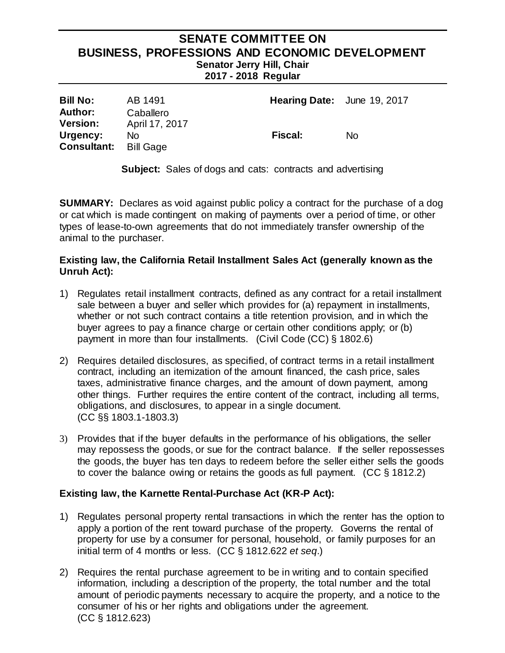## **SENATE COMMITTEE ON BUSINESS, PROFESSIONS AND ECONOMIC DEVELOPMENT Senator Jerry Hill, Chair 2017 - 2018 Regular**

| <b>Bill No:</b>                   | AB 1491                     | Hearing Date: June 19, 2017 |     |
|-----------------------------------|-----------------------------|-----------------------------|-----|
| <b>Author:</b><br><b>Version:</b> | Caballero<br>April 17, 2017 |                             |     |
| Urgency:<br><b>Consultant:</b>    | No<br>Bill Gage             | <b>Fiscal:</b>              | No. |

**Subject:** Sales of dogs and cats: contracts and advertising

**SUMMARY:** Declares as void against public policy a contract for the purchase of a dog or cat which is made contingent on making of payments over a period of time, or other types of lease-to-own agreements that do not immediately transfer ownership of the animal to the purchaser.

### **Existing law, the California Retail Installment Sales Act (generally known as the Unruh Act):**

- 1) Regulates retail installment contracts, defined as any contract for a retail installment sale between a buyer and seller which provides for (a) repayment in installments, whether or not such contract contains a title retention provision, and in which the buyer agrees to pay a finance charge or certain other conditions apply; or (b) payment in more than four installments. (Civil Code (CC) § 1802.6)
- 2) Requires detailed disclosures, as specified, of contract terms in a retail installment contract, including an itemization of the amount financed, the cash price, sales taxes, administrative finance charges, and the amount of down payment, among other things. Further requires the entire content of the contract, including all terms, obligations, and disclosures, to appear in a single document. (CC §§ 1803.1-1803.3)
- 3) Provides that if the buyer defaults in the performance of his obligations, the seller may repossess the goods, or sue for the contract balance. If the seller repossesses the goods, the buyer has ten days to redeem before the seller either sells the goods to cover the balance owing or retains the goods as full payment. (CC § 1812.2)

### **Existing law, the Karnette Rental-Purchase Act (KR-P Act):**

- 1) Regulates personal property rental transactions in which the renter has the option to apply a portion of the rent toward purchase of the property. Governs the rental of property for use by a consumer for personal, household, or family purposes for an initial term of 4 months or less. (CC § 1812.622 *et seq*.)
- 2) Requires the rental purchase agreement to be in writing and to contain specified information, including a description of the property, the total number and the total amount of periodic payments necessary to acquire the property, and a notice to the consumer of his or her rights and obligations under the agreement. (CC § 1812.623)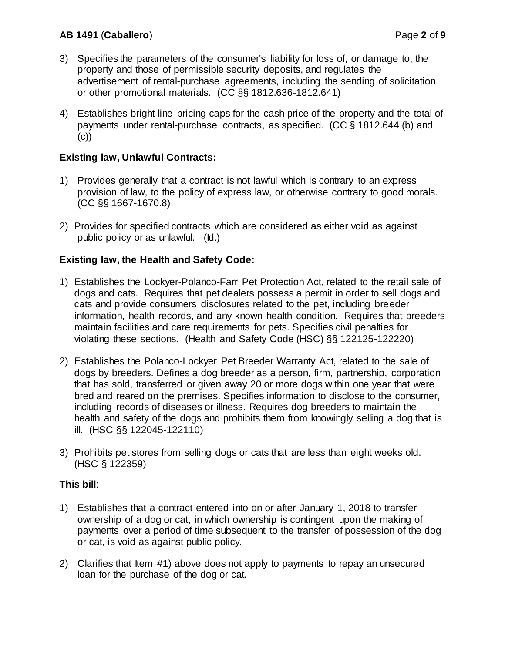- 3) Specifies the parameters of the consumer's liability for loss of, or damage to, the property and those of permissible security deposits, and regulates the advertisement of rental-purchase agreements, including the sending of solicitation or other promotional materials. (CC §§ 1812.636-1812.641)
- 4) Establishes bright-line pricing caps for the cash price of the property and the total of payments under rental-purchase contracts, as specified. (CC § 1812.644 (b) and (c))

# **Existing law, Unlawful Contracts:**

- 1) Provides generally that a contract is not lawful which is contrary to an express provision of law, to the policy of express law, or otherwise contrary to good morals. (CC §§ 1667-1670.8)
- 2) Provides for specified contracts which are considered as either void as against public policy or as unlawful. (Id.)

### **Existing law, the Health and Safety Code:**

- 1) Establishes the Lockyer-Polanco-Farr Pet Protection Act, related to the retail sale of dogs and cats. Requires that pet dealers possess a permit in order to sell dogs and cats and provide consumers disclosures related to the pet, including breeder information, health records, and any known health condition. Requires that breeders maintain facilities and care requirements for pets. Specifies civil penalties for violating these sections. (Health and Safety Code (HSC) §§ 122125-122220)
- 2) Establishes the Polanco-Lockyer Pet Breeder Warranty Act, related to the sale of dogs by breeders. Defines a dog breeder as a person, firm, partnership, corporation that has sold, transferred or given away 20 or more dogs within one year that were bred and reared on the premises. Specifies information to disclose to the consumer, including records of diseases or illness. Requires dog breeders to maintain the health and safety of the dogs and prohibits them from knowingly selling a dog that is ill. (HSC §§ 122045-122110)
- 3) Prohibits pet stores from selling dogs or cats that are less than eight weeks old. (HSC § 122359)

### **This bill**:

- 1) Establishes that a contract entered into on or after January 1, 2018 to transfer ownership of a dog or cat, in which ownership is contingent upon the making of payments over a period of time subsequent to the transfer of possession of the dog or cat, is void as against public policy.
- 2) Clarifies that Item #1) above does not apply to payments to repay an unsecured loan for the purchase of the dog or cat.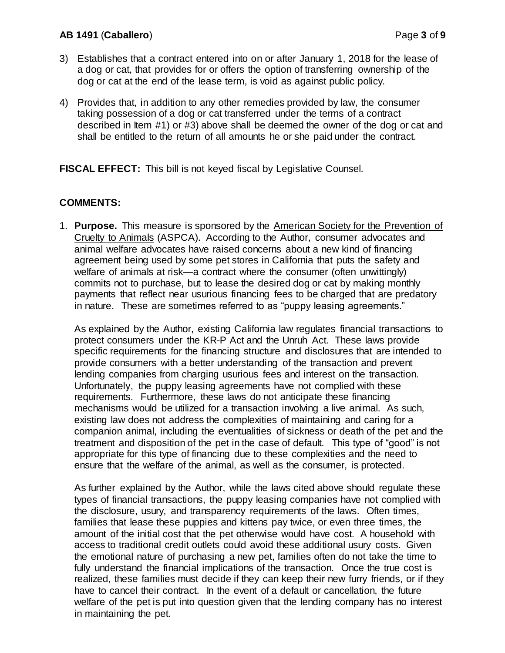### **AB 1491** (**Caballero**) Page **3** of **9**

- 3) Establishes that a contract entered into on or after January 1, 2018 for the lease of a dog or cat, that provides for or offers the option of transferring ownership of the dog or cat at the end of the lease term, is void as against public policy.
- 4) Provides that, in addition to any other remedies provided by law, the consumer taking possession of a dog or cat transferred under the terms of a contract described in Item #1) or #3) above shall be deemed the owner of the dog or cat and shall be entitled to the return of all amounts he or she paid under the contract.

**FISCAL EFFECT:** This bill is not keyed fiscal by Legislative Counsel.

## **COMMENTS:**

1. **Purpose.** This measure is sponsored by the American Society for the Prevention of Cruelty to Animals (ASPCA). According to the Author, consumer advocates and animal welfare advocates have raised concerns about a new kind of financing agreement being used by some pet stores in California that puts the safety and welfare of animals at risk—a contract where the consumer (often unwittingly) commits not to purchase, but to lease the desired dog or cat by making monthly payments that reflect near usurious financing fees to be charged that are predatory in nature. These are sometimes referred to as "puppy leasing agreements."

As explained by the Author, existing California law regulates financial transactions to protect consumers under the KR-P Act and the Unruh Act. These laws provide specific requirements for the financing structure and disclosures that are intended to provide consumers with a better understanding of the transaction and prevent lending companies from charging usurious fees and interest on the transaction. Unfortunately, the puppy leasing agreements have not complied with these requirements. Furthermore, these laws do not anticipate these financing mechanisms would be utilized for a transaction involving a live animal. As such, existing law does not address the complexities of maintaining and caring for a companion animal, including the eventualities of sickness or death of the pet and the treatment and disposition of the pet in the case of default. This type of "good" is not appropriate for this type of financing due to these complexities and the need to ensure that the welfare of the animal, as well as the consumer, is protected.

As further explained by the Author, while the laws cited above should regulate these types of financial transactions, the puppy leasing companies have not complied with the disclosure, usury, and transparency requirements of the laws. Often times, families that lease these puppies and kittens pay twice, or even three times, the amount of the initial cost that the pet otherwise would have cost. A household with access to traditional credit outlets could avoid these additional usury costs. Given the emotional nature of purchasing a new pet, families often do not take the time to fully understand the financial implications of the transaction. Once the true cost is realized, these families must decide if they can keep their new furry friends, or if they have to cancel their contract. In the event of a default or cancellation, the future welfare of the pet is put into question given that the lending company has no interest in maintaining the pet.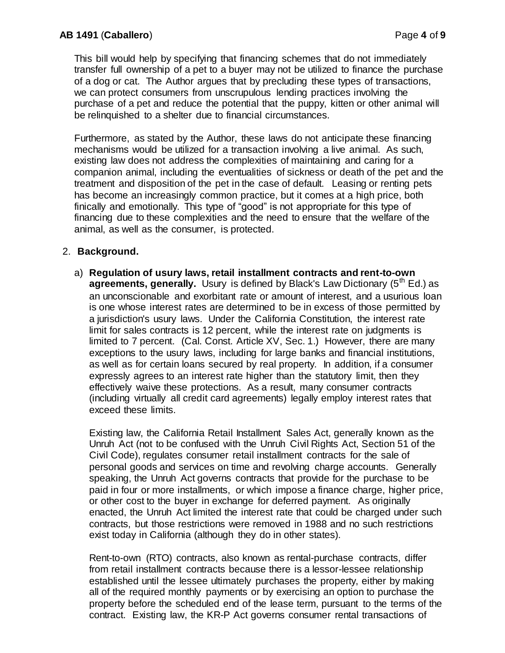This bill would help by specifying that financing schemes that do not immediately transfer full ownership of a pet to a buyer may not be utilized to finance the purchase of a dog or cat. The Author argues that by precluding these types of transactions, we can protect consumers from unscrupulous lending practices involving the purchase of a pet and reduce the potential that the puppy, kitten or other animal will be relinquished to a shelter due to financial circumstances.

Furthermore, as stated by the Author, these laws do not anticipate these financing mechanisms would be utilized for a transaction involving a live animal. As such, existing law does not address the complexities of maintaining and caring for a companion animal, including the eventualities of sickness or death of the pet and the treatment and disposition of the pet in the case of default. Leasing or renting pets has become an increasingly common practice, but it comes at a high price, both finically and emotionally. This type of "good" is not appropriate for this type of financing due to these complexities and the need to ensure that the welfare of the animal, as well as the consumer, is protected.

# 2. **Background.**

a) **Regulation of usury laws, retail installment contracts and rent-to-own agreements, generally.** Usury is defined by Black's Law Dictionary (5<sup>th</sup> Ed.) as an unconscionable and exorbitant rate or amount of interest, and a usurious loan is one whose interest rates are determined to be in excess of those permitted by a jurisdiction's usury laws. Under the California Constitution, the interest rate limit for sales contracts is 12 percent, while the interest rate on judgments is limited to 7 percent. (Cal. Const. Article XV, Sec. 1.) However, there are many exceptions to the usury laws, including for large banks and financial institutions, as well as for certain loans secured by real property. In addition, if a consumer expressly agrees to an interest rate higher than the statutory limit, then they effectively waive these protections. As a result, many consumer contracts (including virtually all credit card agreements) legally employ interest rates that exceed these limits.

Existing law, the California Retail Installment Sales Act, generally known as the Unruh Act (not to be confused with the Unruh Civil Rights Act, Section 51 of the Civil Code), regulates consumer retail installment contracts for the sale of personal goods and services on time and revolving charge accounts. Generally speaking, the Unruh Act governs contracts that provide for the purchase to be paid in four or more installments, or which impose a finance charge, higher price, or other cost to the buyer in exchange for deferred payment. As originally enacted, the Unruh Act limited the interest rate that could be charged under such contracts, but those restrictions were removed in 1988 and no such restrictions exist today in California (although they do in other states).

Rent-to-own (RTO) contracts, also known as rental-purchase contracts, differ from retail installment contracts because there is a lessor-lessee relationship established until the lessee ultimately purchases the property, either by making all of the required monthly payments or by exercising an option to purchase the property before the scheduled end of the lease term, pursuant to the terms of the contract. Existing law, the KR-P Act governs consumer rental transactions of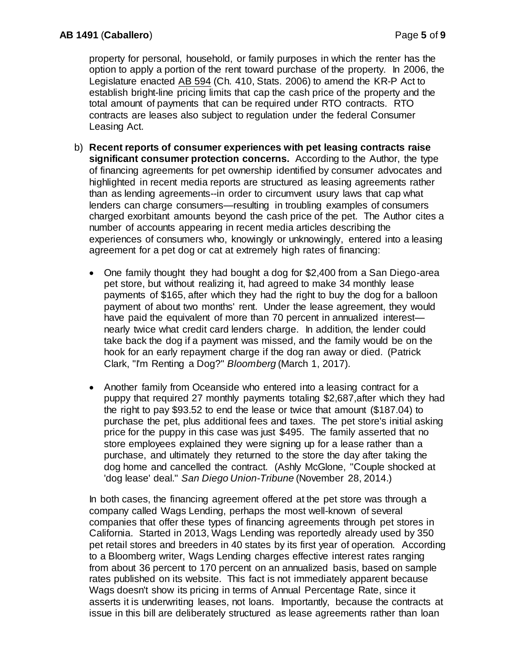property for personal, household, or family purposes in which the renter has the option to apply a portion of the rent toward purchase of the property. In 2006, the Legislature enacted AB 594 (Ch. 410, Stats. 2006) to amend the KR-P Act to establish bright-line pricing limits that cap the cash price of the property and the total amount of payments that can be required under RTO contracts. RTO contracts are leases also subject to regulation under the federal Consumer Leasing Act.

- b) **Recent reports of consumer experiences with pet leasing contracts raise significant consumer protection concerns.**According to the Author, the type of financing agreements for pet ownership identified by consumer advocates and highlighted in recent media reports are structured as leasing agreements rather than as lending agreements--in order to circumvent usury laws that cap what lenders can charge consumers—resulting in troubling examples of consumers charged exorbitant amounts beyond the cash price of the pet. The Author cites a number of accounts appearing in recent media articles describing the experiences of consumers who, knowingly or unknowingly, entered into a leasing agreement for a pet dog or cat at extremely high rates of financing:
	- One family thought they had bought a dog for \$2,400 from a San Diego-area pet store, but without realizing it, had agreed to make 34 monthly lease payments of \$165, after which they had the right to buy the dog for a balloon payment of about two months' rent. Under the lease agreement, they would have paid the equivalent of more than 70 percent in annualized interest nearly twice what credit card lenders charge. In addition, the lender could take back the dog if a payment was missed, and the family would be on the hook for an early repayment charge if the dog ran away or died. (Patrick Clark, "I'm Renting a Dog?" *Bloomberg* (March 1, 2017).
	- Another family from Oceanside who entered into a leasing contract for a puppy that required 27 monthly payments totaling \$2,687,after which they had the right to pay \$93.52 to end the lease or twice that amount (\$187.04) to purchase the pet, plus additional fees and taxes. The pet store's initial asking price for the puppy in this case was just \$495. The family asserted that no store employees explained they were signing up for a lease rather than a purchase, and ultimately they returned to the store the day after taking the dog home and cancelled the contract. (Ashly McGlone, "Couple shocked at 'dog lease' deal." *San Diego Union-Tribune* (November 28, 2014.)

In both cases, the financing agreement offered at the pet store was through a company called Wags Lending, perhaps the most well-known of several companies that offer these types of financing agreements through pet stores in California. Started in 2013, Wags Lending was reportedly already used by 350 pet retail stores and breeders in 40 states by its first year of operation. According to a Bloomberg writer, Wags Lending charges effective interest rates ranging from about 36 percent to 170 percent on an annualized basis, based on sample rates published on its website. This fact is not immediately apparent because Wags doesn't show its pricing in terms of Annual Percentage Rate, since it asserts it is underwriting leases, not loans. Importantly, because the contracts at issue in this bill are deliberately structured as lease agreements rather than loan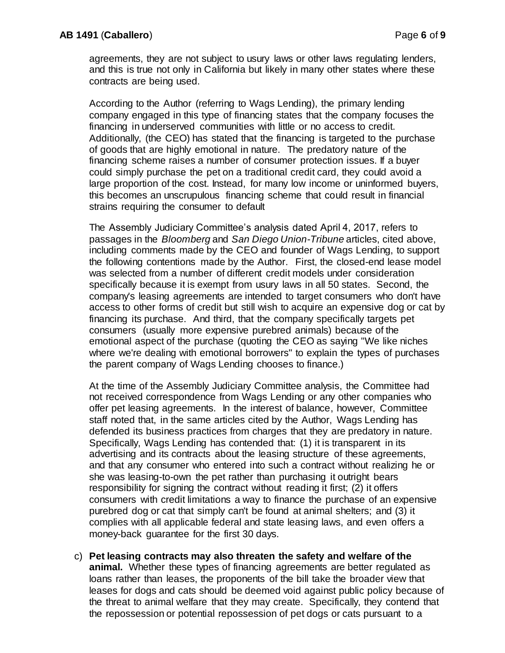agreements, they are not subject to usury laws or other laws regulating lenders, and this is true not only in California but likely in many other states where these contracts are being used.

According to the Author (referring to Wags Lending), the primary lending company engaged in this type of financing states that the company focuses the financing in underserved communities with little or no access to credit. Additionally, (the CEO) has stated that the financing is targeted to the purchase of goods that are highly emotional in nature. The predatory nature of the financing scheme raises a number of consumer protection issues. If a buyer could simply purchase the pet on a traditional credit card, they could avoid a large proportion of the cost. Instead, for many low income or uninformed buyers, this becomes an unscrupulous financing scheme that could result in financial strains requiring the consumer to default

The Assembly Judiciary Committee's analysis dated April 4, 2017, refers to passages in the *Bloomberg* and *San Diego Union-Tribune* articles, cited above, including comments made by the CEO and founder of Wags Lending, to support the following contentions made by the Author. First, the closed-end lease model was selected from a number of different credit models under consideration specifically because it is exempt from usury laws in all 50 states. Second, the company's leasing agreements are intended to target consumers who don't have access to other forms of credit but still wish to acquire an expensive dog or cat by financing its purchase. And third, that the company specifically targets pet consumers (usually more expensive purebred animals) because of the emotional aspect of the purchase (quoting the CEO as saying "We like niches where we're dealing with emotional borrowers" to explain the types of purchases the parent company of Wags Lending chooses to finance.)

At the time of the Assembly Judiciary Committee analysis, the Committee had not received correspondence from Wags Lending or any other companies who offer pet leasing agreements. In the interest of balance, however, Committee staff noted that, in the same articles cited by the Author, Wags Lending has defended its business practices from charges that they are predatory in nature. Specifically, Wags Lending has contended that: (1) it is transparent in its advertising and its contracts about the leasing structure of these agreements, and that any consumer who entered into such a contract without realizing he or she was leasing-to-own the pet rather than purchasing it outright bears responsibility for signing the contract without reading it first; (2) it offers consumers with credit limitations a way to finance the purchase of an expensive purebred dog or cat that simply can't be found at animal shelters; and (3) it complies with all applicable federal and state leasing laws, and even offers a money-back guarantee for the first 30 days.

c) **Pet leasing contracts may also threaten the safety and welfare of the animal.** Whether these types of financing agreements are better regulated as loans rather than leases, the proponents of the bill take the broader view that leases for dogs and cats should be deemed void against public policy because of the threat to animal welfare that they may create. Specifically, they contend that the repossession or potential repossession of pet dogs or cats pursuant to a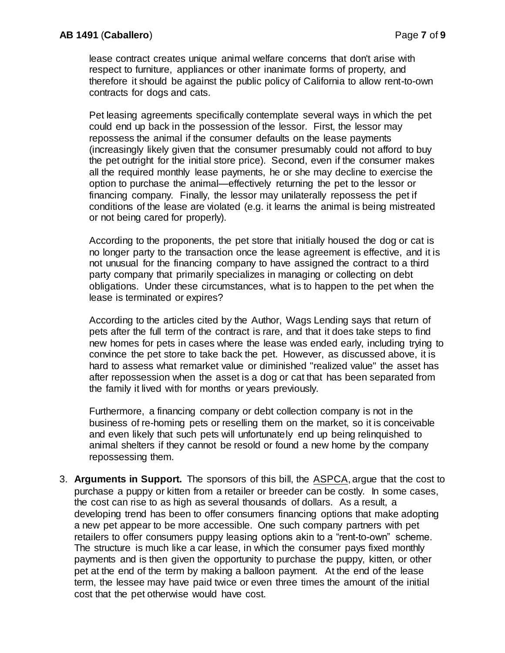lease contract creates unique animal welfare concerns that don't arise with respect to furniture, appliances or other inanimate forms of property, and therefore it should be against the public policy of California to allow rent-to-own contracts for dogs and cats.

Pet leasing agreements specifically contemplate several ways in which the pet could end up back in the possession of the lessor. First, the lessor may repossess the animal if the consumer defaults on the lease payments (increasingly likely given that the consumer presumably could not afford to buy the pet outright for the initial store price). Second, even if the consumer makes all the required monthly lease payments, he or she may decline to exercise the option to purchase the animal—effectively returning the pet to the lessor or financing company. Finally, the lessor may unilaterally repossess the pet if conditions of the lease are violated (e.g. it learns the animal is being mistreated or not being cared for properly).

According to the proponents, the pet store that initially housed the dog or cat is no longer party to the transaction once the lease agreement is effective, and it is not unusual for the financing company to have assigned the contract to a third party company that primarily specializes in managing or collecting on debt obligations. Under these circumstances, what is to happen to the pet when the lease is terminated or expires?

According to the articles cited by the Author, Wags Lending says that return of pets after the full term of the contract is rare, and that it does take steps to find new homes for pets in cases where the lease was ended early, including trying to convince the pet store to take back the pet. However, as discussed above, it is hard to assess what remarket value or diminished "realized value" the asset has after repossession when the asset is a dog or cat that has been separated from the family it lived with for months or years previously.

Furthermore, a financing company or debt collection company is not in the business of re-homing pets or reselling them on the market, so it is conceivable and even likely that such pets will unfortunately end up being relinquished to animal shelters if they cannot be resold or found a new home by the company repossessing them.

3. **Arguments in Support.** The sponsors of this bill, the ASPCA, argue that the cost to purchase a puppy or kitten from a retailer or breeder can be costly. In some cases, the cost can rise to as high as several thousands of dollars. As a result, a developing trend has been to offer consumers financing options that make adopting a new pet appear to be more accessible. One such company partners with pet retailers to offer consumers puppy leasing options akin to a "rent-to-own" scheme. The structure is much like a car lease, in which the consumer pays fixed monthly payments and is then given the opportunity to purchase the puppy, kitten, or other pet at the end of the term by making a balloon payment. At the end of the lease term, the lessee may have paid twice or even three times the amount of the initial cost that the pet otherwise would have cost.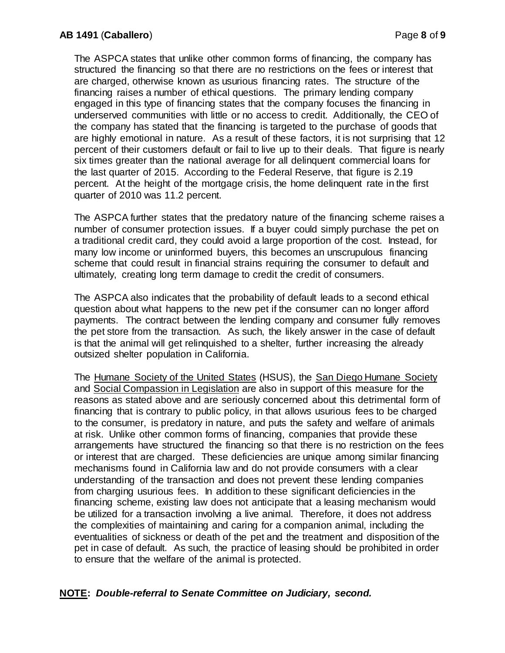The ASPCA states that unlike other common forms of financing, the company has structured the financing so that there are no restrictions on the fees or interest that are charged, otherwise known as usurious financing rates. The structure of the financing raises a number of ethical questions. The primary lending company engaged in this type of financing states that the company focuses the financing in underserved communities with little or no access to credit. Additionally, the CEO of the company has stated that the financing is targeted to the purchase of goods that are highly emotional in nature. As a result of these factors, it is not surprising that 12 percent of their customers default or fail to live up to their deals. That figure is nearly six times greater than the national average for all delinquent commercial loans for the last quarter of 2015. According to the Federal Reserve, that figure is 2.19 percent. At the height of the mortgage crisis, the home delinquent rate in the first quarter of 2010 was 11.2 percent.

The ASPCA further states that the predatory nature of the financing scheme raises a number of consumer protection issues. If a buyer could simply purchase the pet on a traditional credit card, they could avoid a large proportion of the cost. Instead, for many low income or uninformed buyers, this becomes an unscrupulous financing scheme that could result in financial strains requiring the consumer to default and ultimately, creating long term damage to credit the credit of consumers.

The ASPCA also indicates that the probability of default leads to a second ethical question about what happens to the new pet if the consumer can no longer afford payments. The contract between the lending company and consumer fully removes the pet store from the transaction. As such, the likely answer in the case of default is that the animal will get relinquished to a shelter, further increasing the already outsized shelter population in California.

The Humane Society of the United States (HSUS), the San Diego Humane Society and Social Compassion in Legislation are also in support of this measure for the reasons as stated above and are seriously concerned about this detrimental form of financing that is contrary to public policy, in that allows usurious fees to be charged to the consumer, is predatory in nature, and puts the safety and welfare of animals at risk. Unlike other common forms of financing, companies that provide these arrangements have structured the financing so that there is no restriction on the fees or interest that are charged. These deficiencies are unique among similar financing mechanisms found in California law and do not provide consumers with a clear understanding of the transaction and does not prevent these lending companies from charging usurious fees. In addition to these significant deficiencies in the financing scheme, existing law does not anticipate that a leasing mechanism would be utilized for a transaction involving a live animal. Therefore, it does not address the complexities of maintaining and caring for a companion animal, including the eventualities of sickness or death of the pet and the treatment and disposition of the pet in case of default. As such, the practice of leasing should be prohibited in order to ensure that the welfare of the animal is protected.

# **NOTE:** *Double-referral to Senate Committee on Judiciary, second.*